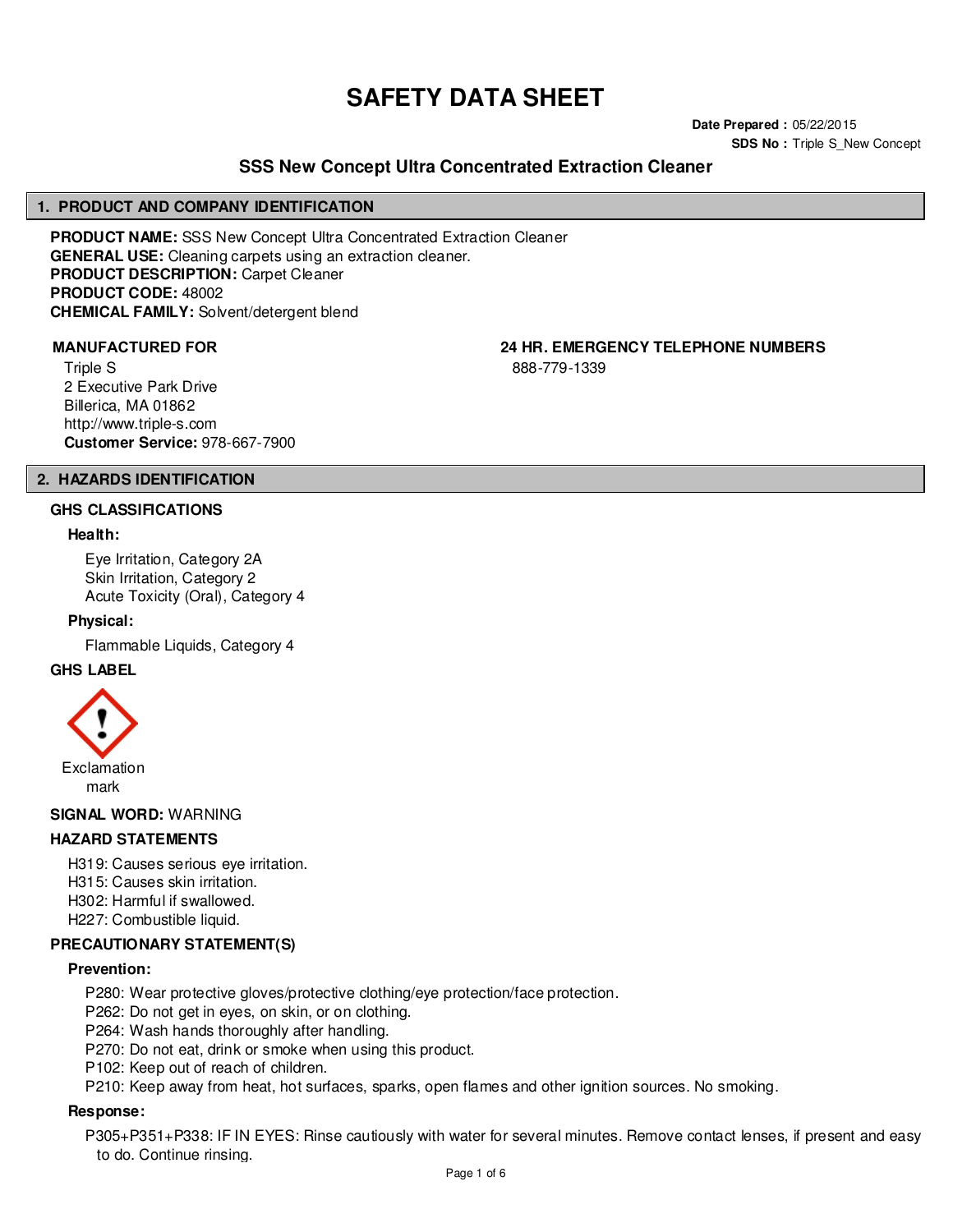# **SAFETY DATA SHEET**

**Date Prepared :** 05/22/2015 **SDS No : Triple S New Concept** 

# **SSS New Concept Ultra Concentrated Extraction Cleaner**

#### **1. PRODUCT AND COMPANY IDENTIFICATION**

**PRODUCT NAME:** SSS New Concept Ultra Concentrated Extraction Cleaner **GENERAL USE:** Cleaning carpets using an extraction cleaner. **PRODUCT DESCRIPTION:** Carpet Cleaner **PRODUCT CODE:** 48002 **CHEMICAL FAMILY:** Solvent/detergent blend

Triple S 2 Executive Park Drive Billerica, MA 01862 http://www.triple-s.com **Customer Service:** 978-667-7900

**MANUFACTURED FOR 24 HR. EMERGENCY TELEPHONE NUMBERS**

888-779-1339

# **2. HAZARDS IDENTIFICATION**

#### **GHS CLASSIFICATIONS**

#### **Health:**

Eye Irritation, Category 2A Skin Irritation, Category 2 Acute Toxicity (Oral), Category 4

#### **Physical:**

Flammable Liquids, Category 4

#### **GHS LABEL**



**SIGNAL WORD:** WARNING

# **HAZARD STATEMENTS**

H319: Causes serious eye irritation. H315: Causes skin irritation.

H302: Harmful if swallowed.

H227: Combustible liquid.

# **PRECAUTIONARY STATEMENT(S)**

#### **Prevention:**

P280: Wear protective gloves/protective clothing/eye protection/face protection.

P262: Do not get in eyes, on skin, or on clothing.

P264: Wash hands thoroughly after handling.

P270: Do not eat, drink or smoke when using this product.

P102: Keep out of reach of children.

P210: Keep away from heat, hot surfaces, sparks, open flames and other ignition sources. No smoking.

#### **Response:**

P305+P351+P338: IF IN EYES: Rinse cautiously with water for several minutes. Remove contact lenses, if present and easy to do. Continue rinsing.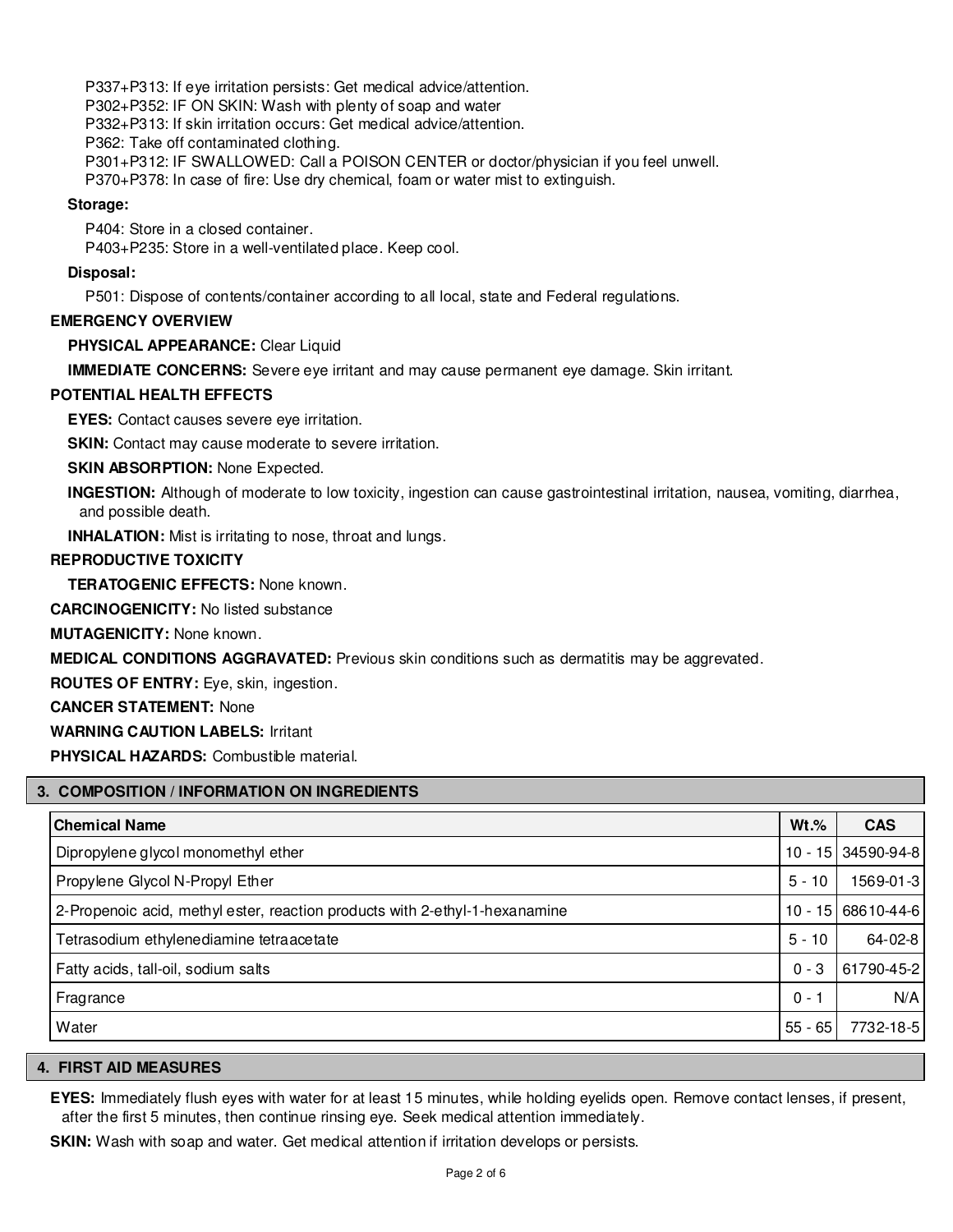P337+P313: If eye irritation persists: Get medical advice/attention. P302+P352: IF ON SKIN: Wash with plenty of soap and water P332+P313: If skin irritation occurs: Get medical advice/attention. P362: Take off contaminated clothing. P301+P312: IF SWALLOWED: Call a POISON CENTER or doctor/physician if you feel unwell. P370+P378: In case of fire: Use dry chemical, foam or water mist to extinguish.

#### **Storage:**

P404: Store in a closed container.

P403+P235: Store in a well-ventilated place. Keep cool.

#### **Disposal:**

P501: Dispose of contents/container according to all local, state and Federal regulations.

#### **EMERGENCY OVERVIEW**

**PHYSICAL APPEARANCE:** Clear Liquid

**IMMEDIATE CONCERNS:** Severe eye irritant and may cause permanent eye damage. Skin irritant.

#### **POTENTIAL HEALTH EFFECTS**

**EYES:** Contact causes severe eye irritation.

**SKIN:** Contact may cause moderate to severe irritation.

**SKIN ABSORPTION: None Expected.** 

**INGESTION:** Although of moderate to low toxicity, ingestion can cause gastrointestinal irritation, nausea, vomiting, diarrhea, and possible death.

**INHALATION:** Mist is irritating to nose, throat and lungs.

# **REPRODUCTIVE TOXICITY**

**TERATOGENIC EFFECTS:** None known.

**CARCINOGENICITY:** No listed substance

**MUTAGENICITY:** None known.

**MEDICAL CONDITIONS AGGRAVATED:** Previous skin conditions such as dermatitis may be aggrevated.

**ROUTES OF ENTRY:** Eye, skin, ingestion.

**CANCER STATEMENT:** None

**WARNING CAUTION LABELS:** Irritant

**PHYSICAL HAZARDS:** Combustible material.

#### **3. COMPOSITION / INFORMATION ON INGREDIENTS**

| <b>Chemical Name</b>                                                        | $Wt.\%$   | <b>CAS</b>         |
|-----------------------------------------------------------------------------|-----------|--------------------|
| Dipropylene glycol monomethyl ether                                         |           | 10 - 15 34590-94-8 |
| Propylene Glycol N-Propyl Ether                                             | $5 - 10$  | 1569-01-3          |
| 2-Propenoic acid, methyl ester, reaction products with 2-ethyl-1-hexanamine | 10 - 15   | 68610-44-6         |
| Tetrasodium ethylenediamine tetraacetate                                    | $5 - 10$  | 64-02-8            |
| Fatty acids, tall-oil, sodium salts                                         | $0 - 3$   | 61790-45-2         |
| Fragrance                                                                   | $0 - 1$   | N/A                |
| Water                                                                       | $55 - 65$ | 7732-18-5          |

#### **4. FIRST AID MEASURES**

**EYES:** Immediately flush eyes with water for at least 15 minutes, while holding eyelids open. Remove contact lenses, if present, after the first 5 minutes, then continue rinsing eye. Seek medical attention immediately.

**SKIN:** Wash with soap and water. Get medical attention if irritation develops or persists.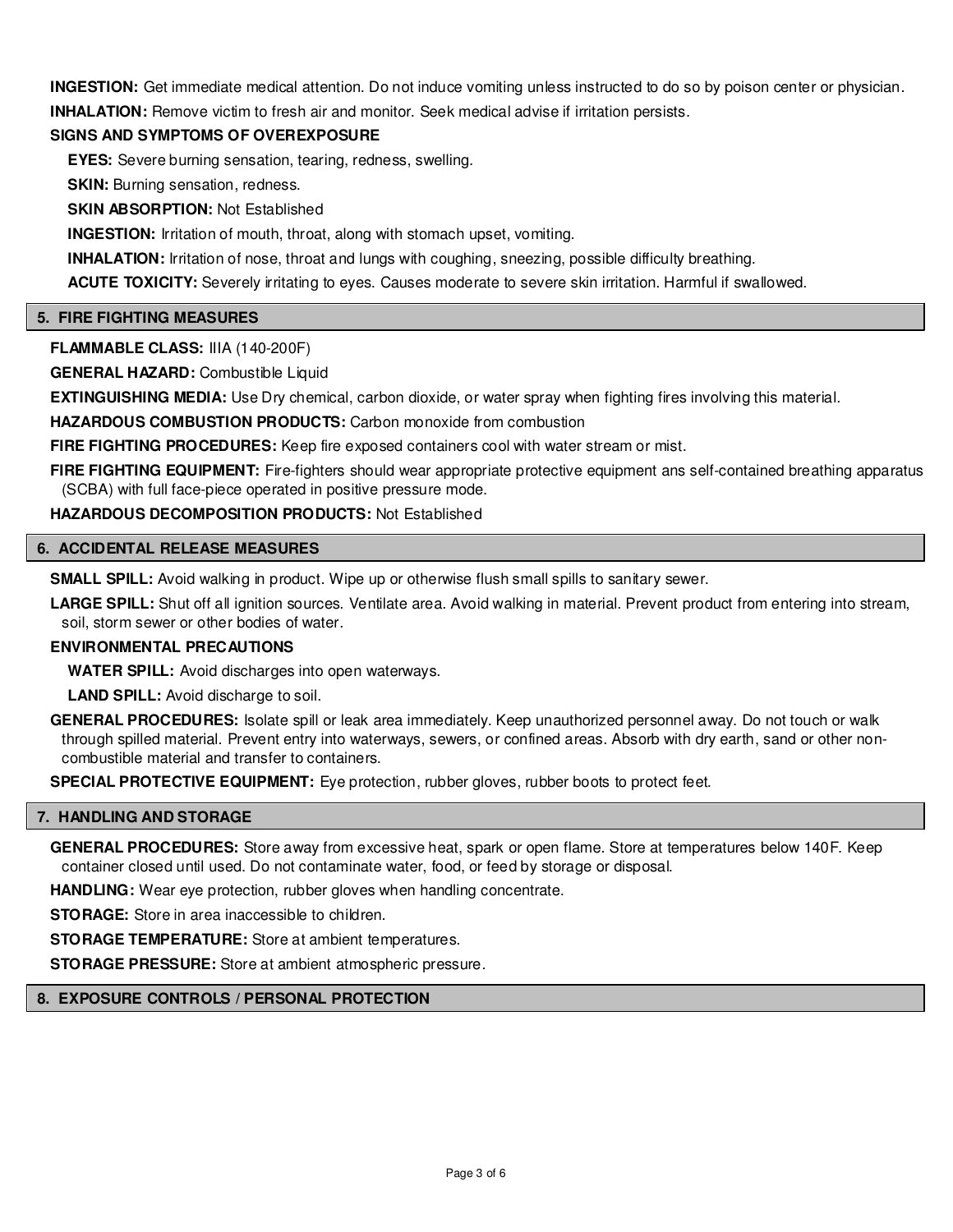**INGESTION:** Get immediate medical attention. Do not induce vomiting unless instructed to do so by poison center or physician. **INHALATION:** Remove victim to fresh air and monitor. Seek medical advise if irritation persists.

# **SIGNS AND SYMPTOMS OF OVEREXPOSURE**

**EYES:** Severe burning sensation, tearing, redness, swelling.

**SKIN:** Burning sensation, redness.

**SKIN ABSORPTION:** Not Established

**INGESTION:** Irritation of mouth, throat, along with stomach upset, vomiting.

**INHALATION:** Irritation of nose, throat and lungs with coughing, sneezing, possible difficulty breathing.

**ACUTE TOXICITY:** Severely irritating to eyes. Causes moderate to severe skin irritation. Harmful if swallowed.

#### **5. FIRE FIGHTING MEASURES**

**FLAMMABLE CLASS:** IIIA (140-200F)

**GENERAL HAZARD:** Combustible Liquid

**EXTINGUISHING MEDIA:** Use Dry chemical, carbon dioxide, or water spray when fighting fires involving this material.

**HAZARDOUS COMBUSTION PRODUCTS:** Carbon monoxide from combustion

**FIRE FIGHTING PROCEDURES:** Keep fire exposed containers cool with water stream or mist.

FIRE FIGHTING EQUIPMENT: Fire-fighters should wear appropriate protective equipment ans self-contained breathing apparatus (SCBA) with full face-piece operated in positive pressure mode.

**HAZARDOUS DECOMPOSITION PRODUCTS:** Not Established

# **6. ACCIDENTAL RELEASE MEASURES**

**SMALL SPILL:** Avoid walking in product. Wipe up or otherwise flush small spills to sanitary sewer.

LARGE SPILL: Shut off all ignition sources. Ventilate area. Avoid walking in material. Prevent product from entering into stream, soil, storm sewer or other bodies of water.

#### **ENVIRONMENTAL PRECAUTIONS**

**WATER SPILL:** Avoid discharges into open waterways.

**LAND SPILL:** Avoid discharge to soil.

**GENERAL PROCEDURES:** Isolate spill or leak area immediately. Keep unauthorized personnel away. Do not touch or walk through spilled material. Prevent entry into waterways, sewers, or confined areas. Absorb with dry earth, sand or other noncombustible material and transfer to containers.

**SPECIAL PROTECTIVE EQUIPMENT:** Eye protection, rubber gloves, rubber boots to protect feet.

#### **7. HANDLING AND STORAGE**

**GENERAL PROCEDURES:** Store away from excessive heat, spark or open flame. Store at temperatures below 140F. Keep container closed until used. Do not contaminate water, food, or feed by storage or disposal.

**HANDLING:** Wear eye protection, rubber gloves when handling concentrate.

**STORAGE:** Store in area inaccessible to children.

**STORAGE TEMPERATURE:** Store at ambient temperatures.

**STORAGE PRESSURE:** Store at ambient atmospheric pressure.

#### **8. EXPOSURE CONTROLS / PERSONAL PROTECTION**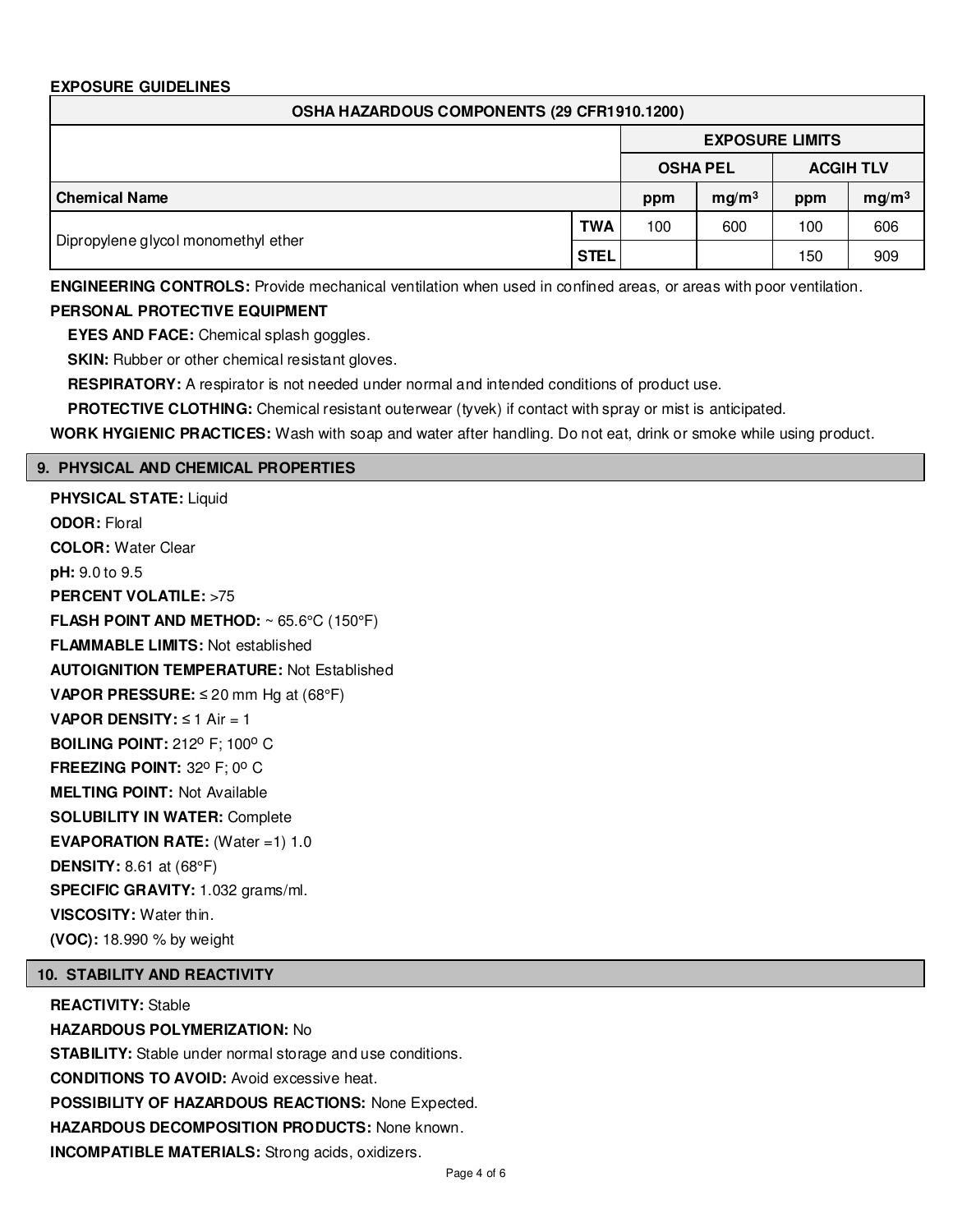# **EXPOSURE GUIDELINES**

| OSHA HAZARDOUS COMPONENTS (29 CFR1910.1200) |             |                        |                   |                  |                   |
|---------------------------------------------|-------------|------------------------|-------------------|------------------|-------------------|
|                                             |             | <b>EXPOSURE LIMITS</b> |                   |                  |                   |
|                                             |             | <b>OSHA PEL</b>        |                   | <b>ACGIH TLV</b> |                   |
| <b>Chemical Name</b>                        |             | ppm                    | mg/m <sup>3</sup> | ppm              | mg/m <sup>3</sup> |
|                                             | <b>TWA</b>  | 100                    | 600               | 100              | 606               |
| Dipropylene glycol monomethyl ether         | <b>STEL</b> |                        |                   | 150              | 909               |

**ENGINEERING CONTROLS:** Provide mechanical ventilation when used in confined areas, or areas with poor ventilation. **PERSONAL PROTECTIVE EQUIPMENT**

**EYES AND FACE:** Chemical splash goggles.

**SKIN:** Rubber or other chemical resistant gloves.

**RESPIRATORY:** A respirator is not needed under normal and intended conditions of product use.

**PROTECTIVE CLOTHING:** Chemical resistant outerwear (tyvek) if contact with spray or mist is anticipated.

**WORK HYGIENIC PRACTICES:** Wash with soap and water after handling. Do not eat, drink or smoke while using product.

# **9. PHYSICAL AND CHEMICAL PROPERTIES**

**PHYSICAL STATE:** Liquid **ODOR:** Floral **COLOR:** Water Clear **pH:** 9.0 to 9.5 **PERCENT VOLATILE: >75 FLASH POINT AND METHOD:** ~ 65.6°C (150°F) **FLAMMABLE LIMITS:** Not established **AUTOIGNITION TEMPERATURE:** Not Established **VAPOR PRESSURE:** ≤ 20 mm Hg at (68°F) **VAPOR DENSITY:** ≤ 1 Air = 1 **BOILING POINT: 212° F: 100° C FREEZING POINT: 32° F: 0° C MELTING POINT:** Not Available **SOLUBILITY IN WATER:** Complete **EVAPORATION RATE:** (Water =1) 1.0 **DENSITY:** 8.61 at (68°F) **SPECIFIC GRAVITY:** 1.032 grams/ml. **VISCOSITY:** Water thin. **(VOC):** 18.990 % by weight

# **10. STABILITY AND REACTIVITY**

**REACTIVITY:** Stable **HAZARDOUS POLYMERIZATION:** No **STABILITY:** Stable under normal storage and use conditions. **CONDITIONS TO AVOID:** Avoid excessive heat. **POSSIBILITY OF HAZARDOUS REACTIONS:** None Expected. **HAZARDOUS DECOMPOSITION PRODUCTS:** None known. **INCOMPATIBLE MATERIALS:** Strong acids, oxidizers.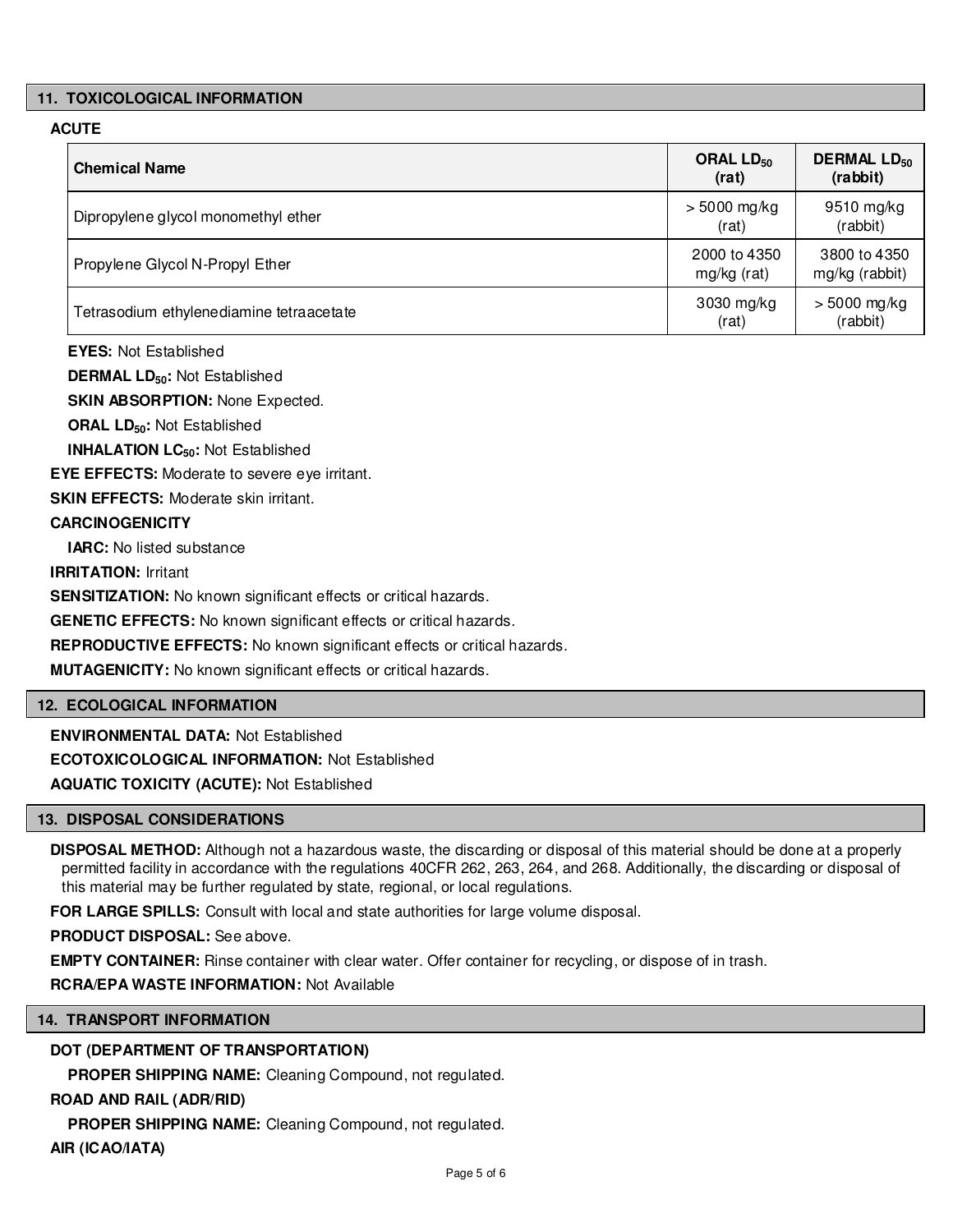# **11. TOXICOLOGICAL INFORMATION**

# **ACUTE**

| <b>Chemical Name</b>                     | ORAL $LD_{50}$<br>(rat)     | <b>DERMAL LD<sub>50</sub></b><br>(rabbit) |
|------------------------------------------|-----------------------------|-------------------------------------------|
| Dipropylene glycol monomethyl ether      | $> 5000$ mg/kg<br>(rat)     | 9510 mg/kg<br>(rabbit)                    |
| Propylene Glycol N-Propyl Ether          | 2000 to 4350<br>mg/kg (rat) | 3800 to 4350<br>mg/kg (rabbit)            |
| Tetrasodium ethylenediamine tetraacetate | 3030 mg/kg<br>(rat)         | $> 5000$ mg/kg<br>(rabbit)                |

**EYES:** Not Established

**DERMAL LD50:** Not Established

**SKIN ABSORPTION:** None Expected.

**ORAL LD50:** Not Established

**INHALATION LC50:** Not Established

**EYE EFFECTS:** Moderate to severe eye irritant.

**SKIN EFFECTS: Moderate skin irritant.** 

# **CARCINOGENICITY**

**IARC:** No listed substance

**IRRITATION:** Irritant

**SENSITIZATION:** No known significant effects or critical hazards.

**GENETIC EFFECTS:** No known significant effects or critical hazards.

**REPRODUCTIVE EFFECTS:** No known significant effects or critical hazards.

**MUTAGENICITY:** No known significant effects or critical hazards.

#### **12. ECOLOGICAL INFORMATION**

**ENVIRONMENTAL DATA:** Not Established **ECOTOXICOLOGICAL INFORMATION:** Not Established

**AQUATIC TOXICITY (ACUTE):** Not Established

#### **13. DISPOSAL CONSIDERATIONS**

**DISPOSAL METHOD:** Although not a hazardous waste, the discarding or disposal of this material should be done at a properly permitted facility in accordance with the regulations 40CFR 262, 263, 264, and 268. Additionally, the discarding or disposal of this material may be further regulated by state, regional, or local regulations.

**FOR LARGE SPILLS:** Consult with local and state authorities for large volume disposal.

**PRODUCT DISPOSAL:** See above.

**EMPTY CONTAINER:** Rinse container with clear water. Offer container for recycling, or dispose of in trash.

**RCRA/EPA WASTE INFORMATION:** Not Available

# **14. TRANSPORT INFORMATION**

# **DOT (DEPARTMENT OF TRANSPORTATION)**

**PROPER SHIPPING NAME:** Cleaning Compound, not regulated.

# **ROAD AND RAIL (ADR/RID)**

**PROPER SHIPPING NAME:** Cleaning Compound, not regulated.

**AIR (ICAO/IATA)**